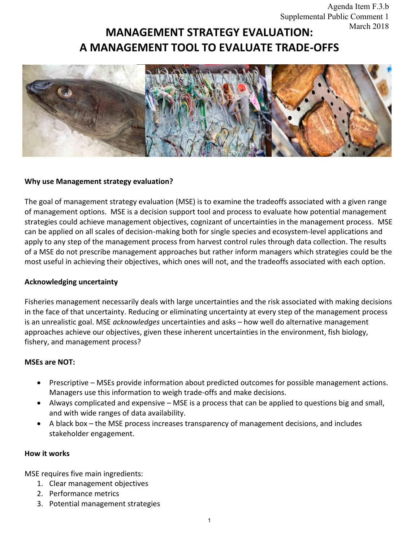# **MANAGEMENT STRATEGY EVALUATION: A MANAGEMENT TOOL TO EVALUATE TRADE-OFFS**



## **Why use Management strategy evaluation?**

The goal of management strategy evaluation (MSE) is to examine the tradeoffs associated with a given range of management options. MSE is a decision support tool and process to evaluate how potential management strategies could achieve management objectives, cognizant of uncertainties in the management process. MSE can be applied on all scales of decision-making both for single species and ecosystem-level applications and apply to any step of the management process from harvest control rules through data collection. The results of a MSE do not prescribe management approaches but rather inform managers which strategies could be the most useful in achieving their objectives, which ones will not, and the tradeoffs associated with each option.

## **Acknowledging uncertainty**

Fisheries management necessarily deals with large uncertainties and the risk associated with making decisions in the face of that uncertainty. Reducing or eliminating uncertainty at every step of the management process is an unrealistic goal. MSE *acknowledges* uncertainties and asks – how well do alternative management approaches achieve our objectives, given these inherent uncertainties in the environment, fish biology, fishery, and management process?

## **MSEs are NOT:**

- Prescriptive MSEs provide information about predicted outcomes for possible management actions. Managers use this information to weigh trade-offs and make decisions.
- Always complicated and expensive MSE is a process that can be applied to questions big and small, and with wide ranges of data availability.
- A black box the MSE process increases transparency of management decisions, and includes stakeholder engagement.

## **How it works**

MSE requires five main ingredients:

- 1. Clear management objectives
- 2. Performance metrics
- 3. Potential management strategies